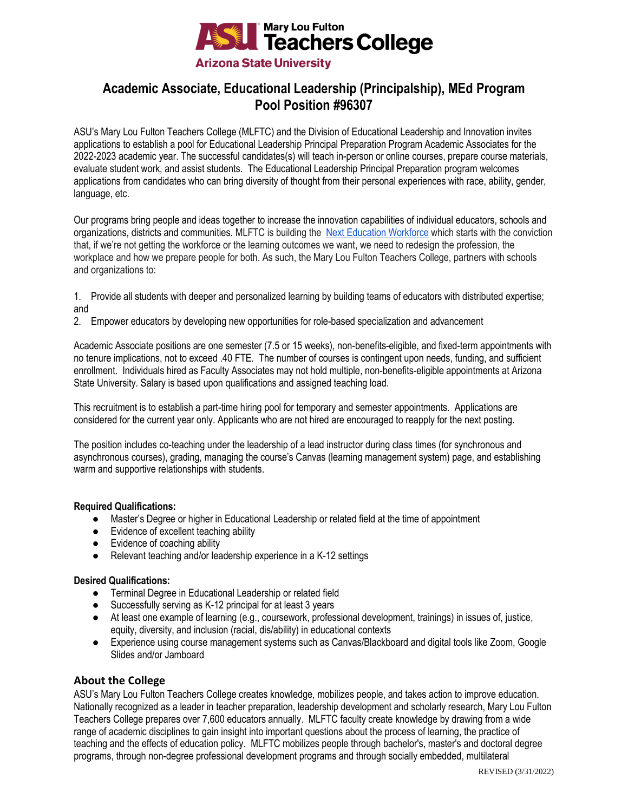

# **Academic Associate, Educational Leadership (Principalship), MEd Program Pool Position #96307**

ASU's Mary Lou Fulton Teachers College (MLFTC) and the Division of Educational Leadership and Innovation invites applications to establish a pool for Educational Leadership Principal Preparation Program Academic Associates for the 2022-2023 academic year. The successful candidates(s) will teach in-person or online courses, prepare course materials, evaluate student work, and assist students. The Educational Leadership Principal Preparation program welcomes applications from candidates who can bring diversity of thought from their personal experiences with race, ability, gender, language, etc.

Our programs bring people and ideas together to increase the innovation capabilities of individual educators, schools and organizations, districts and communities. MLFTC is building the [Next Education Workforce](https://workforce.education.asu.edu/?utm_source=mlftc&utm_medium=redirect&utm_campaign=top_nav) which starts with the conviction that, if we're not getting the workforce or the learning outcomes we want, we need to redesign the profession, the workplace and how we prepare people for both. As such, the Mary Lou Fulton Teachers College, partners with schools and organizations to:

- 1. Provide all students with deeper and personalized learning by building teams of educators with distributed expertise; and
- 2. Empower educators by developing new opportunities for role-based specialization and advancement

Academic Associate positions are one semester (7.5 or 15 weeks), non-benefits-eligible, and fixed-term appointments with no tenure implications, not to exceed .40 FTE. The number of courses is contingent upon needs, funding, and sufficient enrollment. Individuals hired as Faculty Associates may not hold multiple, non-benefits-eligible appointments at Arizona State University. Salary is based upon qualifications and assigned teaching load.

This recruitment is to establish a part-time hiring pool for temporary and semester appointments. Applications are considered for the current year only. Applicants who are not hired are encouraged to reapply for the next posting.

The position includes co-teaching under the leadership of a lead instructor during class times (for synchronous and asynchronous courses), grading, managing the course's Canvas (learning management system) page, and establishing warm and supportive relationships with students.

## **Required Qualifications:**

- Master's Degree or higher in Educational Leadership or related field at the time of appointment
- Evidence of excellent teaching ability
- Evidence of coaching ability
- Relevant teaching and/or leadership experience in a K-12 settings

# **Desired Qualifications:**

- Terminal Degree in Educational Leadership or related field
- Successfully serving as K-12 principal for at least 3 years
- At least one example of learning (e.g., coursework, professional development, trainings) in issues of, justice, equity, diversity, and inclusion (racial, dis/ability) in educational contexts
- Experience using course management systems such as Canvas/Blackboard and digital tools like Zoom, Google Slides and/or Jamboard

# **About the College**

ASU's Mary Lou Fulton Teachers College creates knowledge, mobilizes people, and takes action to improve education. Nationally recognized as a leader in teacher preparation, leadership development and scholarly research, Mary Lou Fulton Teachers College prepares over 7,600 educators annually. MLFTC faculty create knowledge by drawing from a wide range of academic disciplines to gain insight into important questions about the process of learning, the practice of teaching and the effects of education policy. MLFTC mobilizes people through bachelor's, master's and doctoral degree programs, through non-degree professional development programs and through socially embedded, multilateral